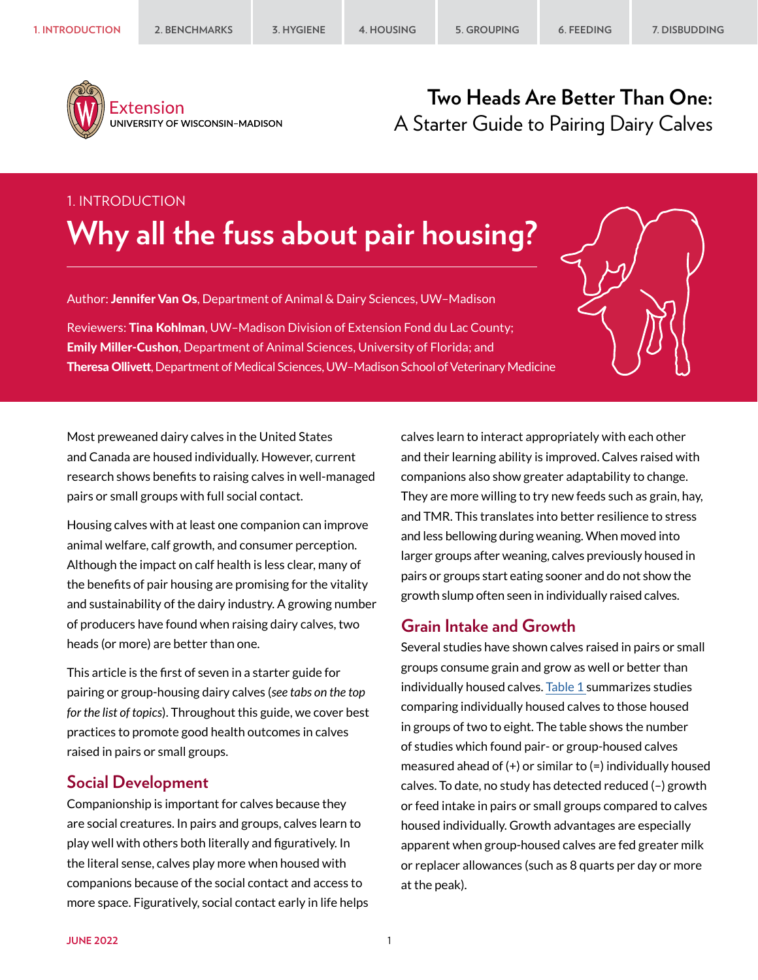

Extension UNIVERSITY OF WISCONSIN-MADISON

## **Two Heads Are Better Than One:** A Starter Guide to Pairing Dairy Calves

# 1. INTRODUCTION **Why all the fuss about pair housing?**

Author: Jennifer Van Os, Department of Animal & Dairy Sciences, UW-Madison

Reviewers: Tina Kohlman, UW-Madison Division of Extension Fond du Lac County; Emily Miller-Cushon, Department of Animal Sciences, University of Florida; and Theresa Ollivett, Department of Medical Sciences, UW–Madison School of Veterinary Medicine

Most preweaned dairy calves in the United States and Canada are housed individually. However, current research shows benefits to raising calves in well-managed pairs or small groups with full social contact.

Housing calves with at least one companion can improve animal welfare, calf growth, and consumer perception. Although the impact on calf health is less clear, many of the benefits of pair housing are promising for the vitality and sustainability of the dairy industry. A growing number of producers have found when raising dairy calves, two heads (or more) are better than one.

This article is the first of seven in a starter guide for pairing or group-housing dairy calves (*see tabs on the top for the list of topics*). Throughout this guide, we cover best practices to promote good health outcomes in calves raised in pairs or small groups.

## **Social Development**

Companionship is important for calves because they are social creatures. In pairs and groups, calves learn to play well with others both literally and figuratively. In the literal sense, calves play more when housed with companions because of the social contact and access to more space. Figuratively, social contact early in life helps calves learn to interact appropriately with each other and their learning ability is improved. Calves raised with companions also show greater adaptability to change. They are more willing to try new feeds such as grain, hay, and TMR. This translates into better resilience to stress and less bellowing during weaning. When moved into larger groups after weaning, calves previously housed in pairs or groups start eating sooner and do not show the growth slump often seen in individually raised calves.

## **Grain Intake and Growth**

Several studies have shown calves raised in pairs or small groups consume grain and grow as well or better than individually housed calves. [Table 1 s](#page-1-0)ummarizes studies comparing individually housed calves to those housed in groups of two to eight. The table shows the number of studies which found pair- or group-housed calves measured ahead of  $(+)$  or similar to  $(=)$  individually housed calves. To date, no study has detected reduced (–) growth or feed intake in pairs or small groups compared to calves housed individually. Growth advantages are especially apparent when group-housed calves are fed greater milk or replacer allowances (such as 8 quarts per day or more at the peak).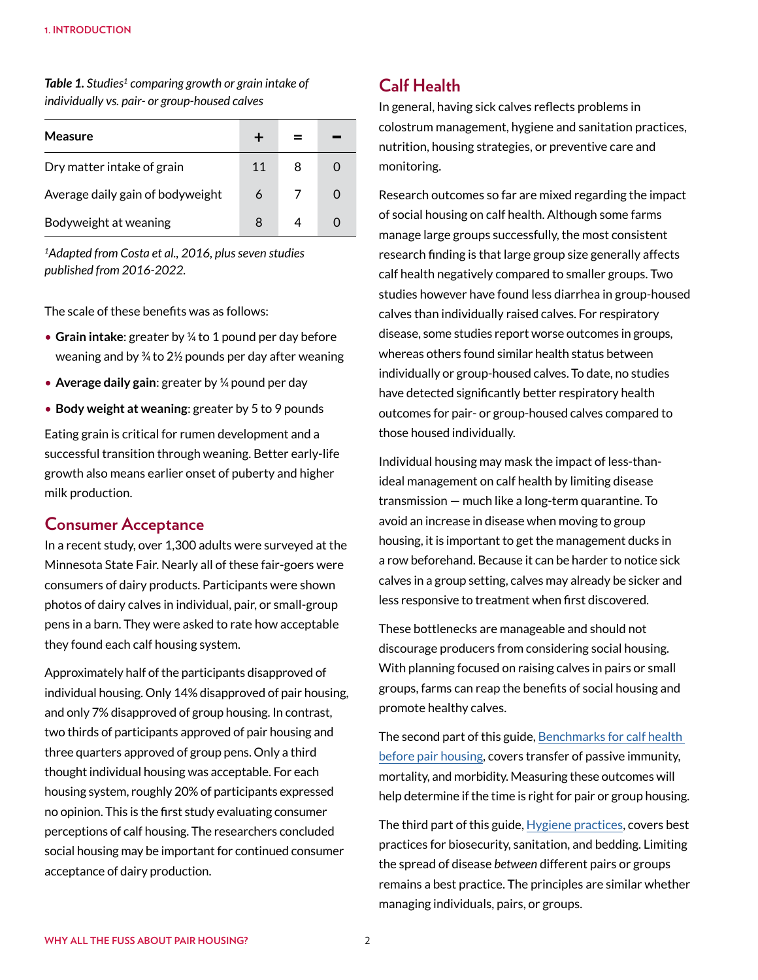| Measure                          |    |   |  |
|----------------------------------|----|---|--|
| Dry matter intake of grain       | 11 | 8 |  |
| Average daily gain of bodyweight | 6  |   |  |
| Bodyweight at weaning            | 8  |   |  |

<span id="page-1-0"></span>*Table 1. Studies1 comparing growth or grain intake of individually vs. pair- or group-housed calves*

*1Adapted from Costa et al., 2016, plus seven studies published from 2016-2022.*

The scale of these benefits was as follows:

- **Grain intake**: greater by ¼ to 1 pound per day before weaning and by  $\frac{3}{4}$  to 2½ pounds per day after weaning
- **Average daily gain**: greater by ¼ pound per day
- **Body weight at weaning**: greater by 5 to 9 pounds

Eating grain is critical for rumen development and a successful transition through weaning. Better early-life growth also means earlier onset of puberty and higher milk production.

### **Consumer Acceptance**

In a recent study, over 1,300 adults were surveyed at the Minnesota State Fair. Nearly all of these fair-goers were consumers of dairy products. Participants were shown photos of dairy calves in individual, pair, or small-group pens in a barn. They were asked to rate how acceptable they found each calf housing system.

Approximately half of the participants disapproved of individual housing. Only 14% disapproved of pair housing, and only 7% disapproved of group housing. In contrast, two thirds of participants approved of pair housing and three quarters approved of group pens. Only a third thought individual housing was acceptable. For each housing system, roughly 20% of participants expressed no opinion. This is the first study evaluating consumer perceptions of calf housing. The researchers concluded social housing may be important for continued consumer acceptance of dairy production.

## **Calf Health**

In general, having sick calves reflects problems in colostrum management, hygiene and sanitation practices, nutrition, housing strategies, or preventive care and monitoring.

Research outcomes so far are mixed regarding the impact of social housing on calf health. Although some farms manage large groups successfully, the most consistent research finding is that large group size generally affects calf health negatively compared to smaller groups. Two studies however have found less diarrhea in group-housed calves than individually raised calves. For respiratory disease, some studies report worse outcomes in groups, whereas others found similar health status between individually or group-housed calves. To date, no studies have detected significantly better respiratory health outcomes for pair- or group-housed calves compared to those housed individually.

Individual housing may mask the impact of less-thanideal management on calf health by limiting disease transmission — much like a long-term quarantine. To avoid an increase in disease when moving to group housing, it is important to get the management ducks in a row beforehand. Because it can be harder to notice sick calves in a group setting, calves may already be sicker and less responsive to treatment when first discovered.

These bottlenecks are manageable and should not discourage producers from considering social housing. With planning focused on raising calves in pairs or small groups, farms can reap the benefits of social housing and promote healthy calves.

The second part of this guide, [Benchmarks for calf health](https://animalwelfare.cals.wisc.edu/wp-content/uploads/sites/243/2022/06/02-benchmarks.pdf)  [before pair housing](https://animalwelfare.cals.wisc.edu/wp-content/uploads/sites/243/2022/06/02-benchmarks.pdf), covers transfer of passive immunity, mortality, and morbidity. Measuring these outcomes will help determine if the time is right for pair or group housing.

The third part of this guide, [Hygiene practices](https://animalwelfare.cals.wisc.edu/wp-content/uploads/sites/243/2022/06/03-hygiene.pdf), covers best practices for biosecurity, sanitation, and bedding. Limiting the spread of disease *between* different pairs or groups remains a best practice. The principles are similar whether managing individuals, pairs, or groups.